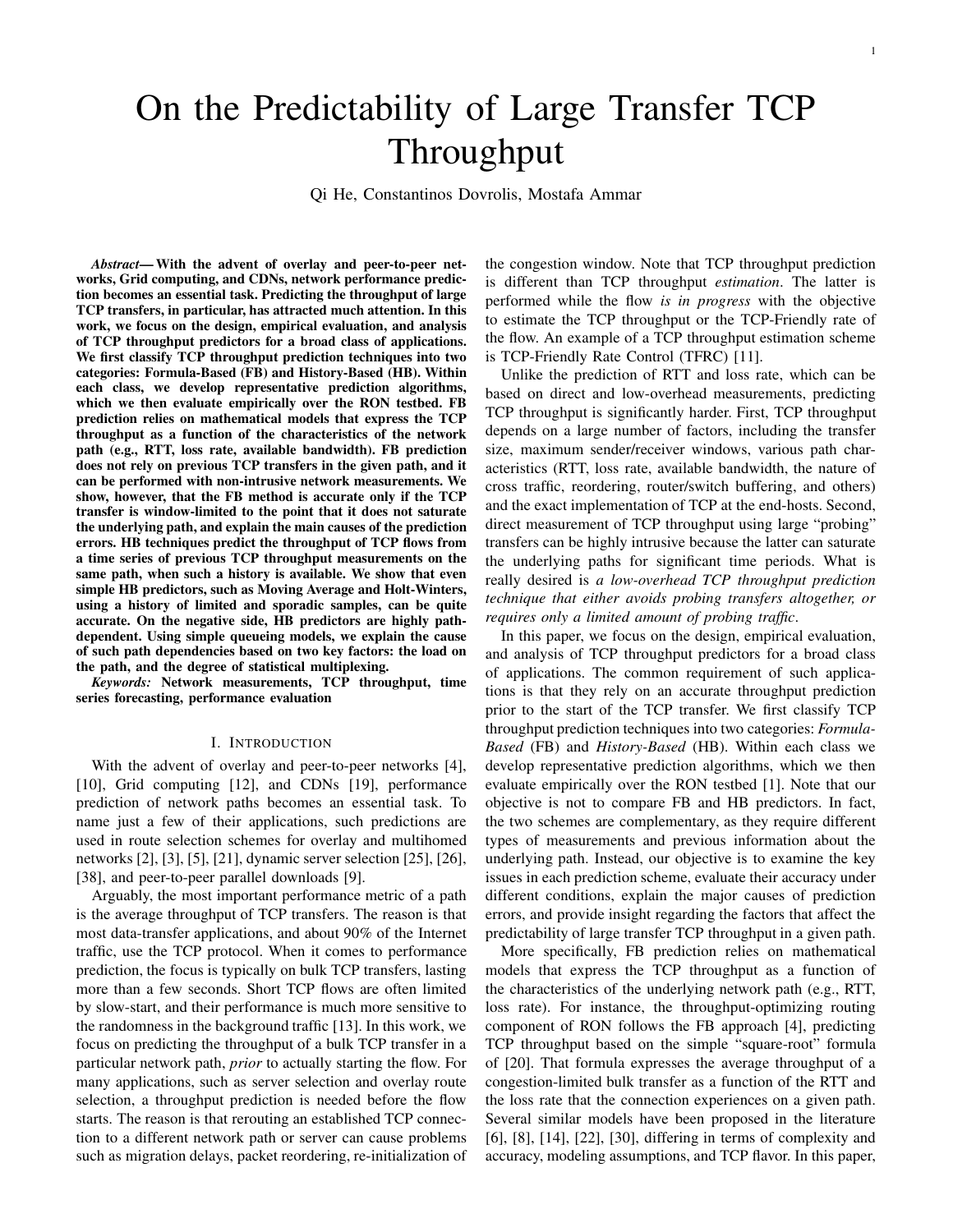# On the Predictability of Large Transfer TCP Throughput

Qi He, Constantinos Dovrolis, Mostafa Ammar

*Abstract***— With the advent of overlay and peer-to-peer networks, Grid computing, and CDNs, network performance prediction becomes an essential task. Predicting the throughput of large TCP transfers, in particular, has attracted much attention. In this work, we focus on the design, empirical evaluation, and analysis of TCP throughput predictors for a broad class of applications. We first classify TCP throughput prediction techniques into two categories: Formula-Based (FB) and History-Based (HB). Within each class, we develop representative prediction algorithms, which we then evaluate empirically over the RON testbed. FB prediction relies on mathematical models that express the TCP throughput as a function of the characteristics of the network path (e.g., RTT, loss rate, available bandwidth). FB prediction does not rely on previous TCP transfers in the given path, and it can be performed with non-intrusive network measurements. We show, however, that the FB method is accurate only if the TCP transfer is window-limited to the point that it does not saturate the underlying path, and explain the main causes of the prediction errors. HB techniques predict the throughput of TCP flows from a time series of previous TCP throughput measurements on the same path, when such a history is available. We show that even simple HB predictors, such as Moving Average and Holt-Winters, using a history of limited and sporadic samples, can be quite accurate. On the negative side, HB predictors are highly pathdependent. Using simple queueing models, we explain the cause of such path dependencies based on two key factors: the load on the path, and the degree of statistical multiplexing.**

*Keywords:* **Network measurements, TCP throughput, time series forecasting, performance evaluation**

# I. INTRODUCTION

With the advent of overlay and peer-to-peer networks [4], [10], Grid computing [12], and CDNs [19], performance prediction of network paths becomes an essential task. To name just a few of their applications, such predictions are used in route selection schemes for overlay and multihomed networks [2], [3], [5], [21], dynamic server selection [25], [26], [38], and peer-to-peer parallel downloads [9].

Arguably, the most important performance metric of a path is the average throughput of TCP transfers. The reason is that most data-transfer applications, and about 90% of the Internet traffic, use the TCP protocol. When it comes to performance prediction, the focus is typically on bulk TCP transfers, lasting more than a few seconds. Short TCP flows are often limited by slow-start, and their performance is much more sensitive to the randomness in the background traffic [13]. In this work, we focus on predicting the throughput of a bulk TCP transfer in a particular network path, *prior* to actually starting the flow. For many applications, such as server selection and overlay route selection, a throughput prediction is needed before the flow starts. The reason is that rerouting an established TCP connection to a different network path or server can cause problems such as migration delays, packet reordering, re-initialization of

the congestion window. Note that TCP throughput prediction is different than TCP throughput *estimation*. The latter is performed while the flow *is in progress* with the objective to estimate the TCP throughput or the TCP-Friendly rate of the flow. An example of a TCP throughput estimation scheme is TCP-Friendly Rate Control (TFRC) [11].

Unlike the prediction of RTT and loss rate, which can be based on direct and low-overhead measurements, predicting TCP throughput is significantly harder. First, TCP throughput depends on a large number of factors, including the transfer size, maximum sender/receiver windows, various path characteristics (RTT, loss rate, available bandwidth, the nature of cross traffic, reordering, router/switch buffering, and others) and the exact implementation of TCP at the end-hosts. Second, direct measurement of TCP throughput using large "probing" transfers can be highly intrusive because the latter can saturate the underlying paths for significant time periods. What is really desired is *a low-overhead TCP throughput prediction technique that either avoids probing transfers altogether, or requires only a limited amount of probing traffic*.

In this paper, we focus on the design, empirical evaluation, and analysis of TCP throughput predictors for a broad class of applications. The common requirement of such applications is that they rely on an accurate throughput prediction prior to the start of the TCP transfer. We first classify TCP throughput prediction techniques into two categories: *Formula-Based* (FB) and *History-Based* (HB). Within each class we develop representative prediction algorithms, which we then evaluate empirically over the RON testbed [1]. Note that our objective is not to compare FB and HB predictors. In fact, the two schemes are complementary, as they require different types of measurements and previous information about the underlying path. Instead, our objective is to examine the key issues in each prediction scheme, evaluate their accuracy under different conditions, explain the major causes of prediction errors, and provide insight regarding the factors that affect the predictability of large transfer TCP throughput in a given path.

More specifically, FB prediction relies on mathematical models that express the TCP throughput as a function of the characteristics of the underlying network path (e.g., RTT, loss rate). For instance, the throughput-optimizing routing component of RON follows the FB approach [4], predicting TCP throughput based on the simple "square-root" formula of [20]. That formula expresses the average throughput of a congestion-limited bulk transfer as a function of the RTT and the loss rate that the connection experiences on a given path. Several similar models have been proposed in the literature [6], [8], [14], [22], [30], differing in terms of complexity and accuracy, modeling assumptions, and TCP flavor. In this paper,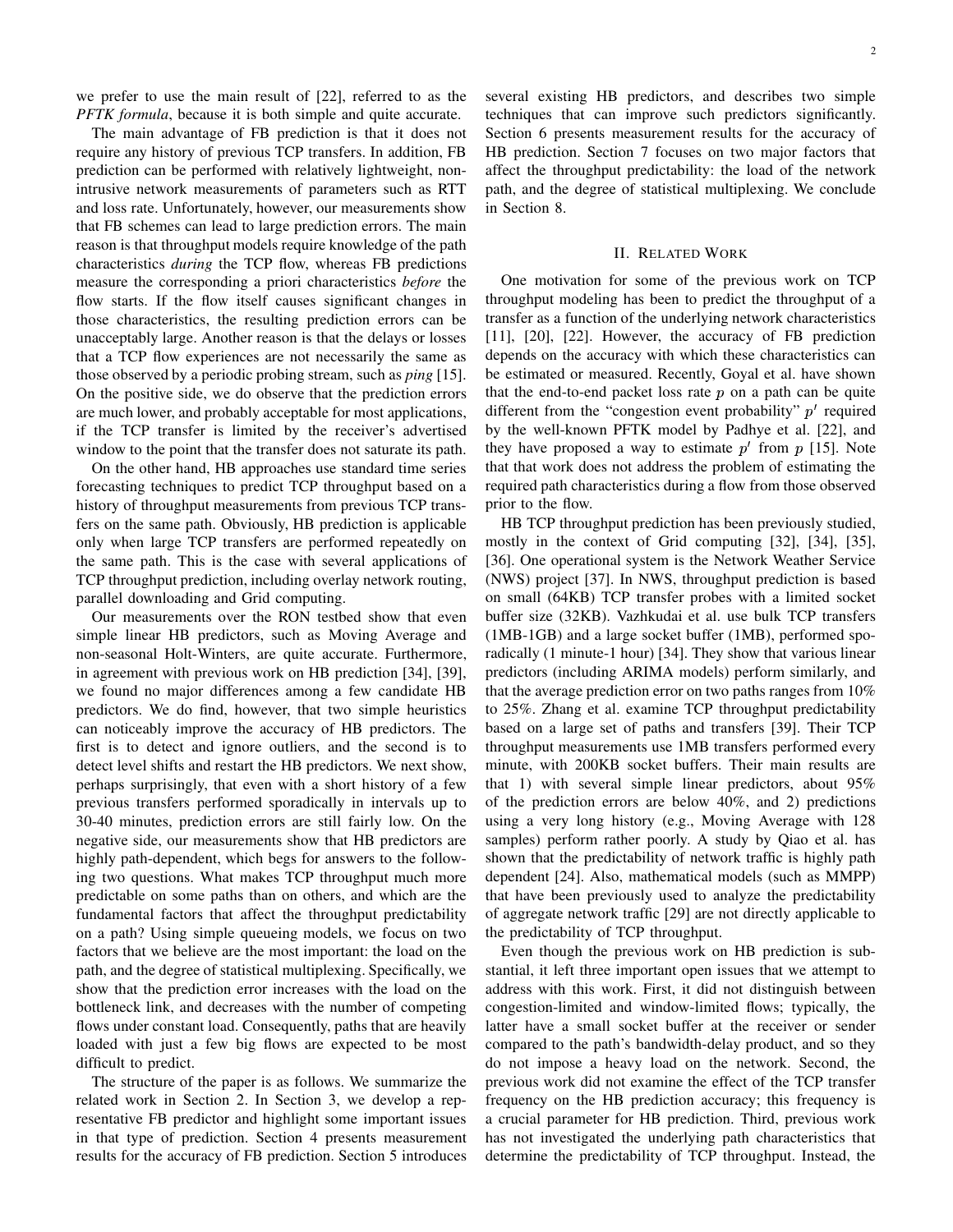we prefer to use the main result of [22], referred to as the *PFTK formula*, because it is both simple and quite accurate.

The main advantage of FB prediction is that it does not require any history of previous TCP transfers. In addition, FB prediction can be performed with relatively lightweight, nonintrusive network measurements of parameters such as RTT and loss rate. Unfortunately, however, our measurements show that FB schemes can lead to large prediction errors. The main reason is that throughput models require knowledge of the path characteristics *during* the TCP flow, whereas FB predictions measure the corresponding a priori characteristics *before* the flow starts. If the flow itself causes significant changes in those characteristics, the resulting prediction errors can be unacceptably large. Another reason is that the delays or losses that a TCP flow experiences are not necessarily the same as those observed by a periodic probing stream, such as *ping* [15]. On the positive side, we do observe that the prediction errors are much lower, and probably acceptable for most applications, if the TCP transfer is limited by the receiver's advertised window to the point that the transfer does not saturate its path.

On the other hand, HB approaches use standard time series forecasting techniques to predict TCP throughput based on a history of throughput measurements from previous TCP transfers on the same path. Obviously, HB prediction is applicable only when large TCP transfers are performed repeatedly on the same path. This is the case with several applications of TCP throughput prediction, including overlay network routing, parallel downloading and Grid computing.

Our measurements over the RON testbed show that even simple linear HB predictors, such as Moving Average and non-seasonal Holt-Winters, are quite accurate. Furthermore, in agreement with previous work on HB prediction [34], [39], we found no major differences among a few candidate HB predictors. We do find, however, that two simple heuristics can noticeably improve the accuracy of HB predictors. The first is to detect and ignore outliers, and the second is to detect level shifts and restart the HB predictors. We next show, perhaps surprisingly, that even with a short history of a few previous transfers performed sporadically in intervals up to 30-40 minutes, prediction errors are still fairly low. On the negative side, our measurements show that HB predictors are highly path-dependent, which begs for answers to the following two questions. What makes TCP throughput much more predictable on some paths than on others, and which are the fundamental factors that affect the throughput predictability on a path? Using simple queueing models, we focus on two factors that we believe are the most important: the load on the path, and the degree of statistical multiplexing. Specifically, we show that the prediction error increases with the load on the bottleneck link, and decreases with the number of competing flows under constant load. Consequently, paths that are heavily loaded with just a few big flows are expected to be most difficult to predict.

The structure of the paper is as follows. We summarize the related work in Section 2. In Section 3, we develop a representative FB predictor and highlight some important issues in that type of prediction. Section 4 presents measurement results for the accuracy of FB prediction. Section 5 introduces several existing HB predictors, and describes two simple techniques that can improve such predictors significantly. Section 6 presents measurement results for the accuracy of HB prediction. Section 7 focuses on two major factors that affect the throughput predictability: the load of the network path, and the degree of statistical multiplexing. We conclude in Section 8.

#### II. RELATED WORK

One motivation for some of the previous work on TCP throughput modeling has been to predict the throughput of a transfer as a function of the underlying network characteristics [11], [20], [22]. However, the accuracy of FB prediction depends on the accuracy with which these characteristics can be estimated or measured. Recently, Goyal et al. have shown that the end-to-end packet loss rate  $p$  on a path can be quite different from the "congestion event probability"  $p'$  required by the well-known PFTK model by Padhye et al. [22], and they have proposed a way to estimate  $p'$  from  $p$  [15]. Note that that work does not address the problem of estimating the required path characteristics during a flow from those observed prior to the flow.

HB TCP throughput prediction has been previously studied, mostly in the context of Grid computing [32], [34], [35], [36]. One operational system is the Network Weather Service (NWS) project [37]. In NWS, throughput prediction is based on small (64KB) TCP transfer probes with a limited socket buffer size (32KB). Vazhkudai et al. use bulk TCP transfers (1MB-1GB) and a large socket buffer (1MB), performed sporadically (1 minute-1 hour) [34]. They show that various linear predictors (including ARIMA models) perform similarly, and that the average prediction error on two paths ranges from 10% to 25%. Zhang et al. examine TCP throughput predictability based on a large set of paths and transfers [39]. Their TCP throughput measurements use 1MB transfers performed every minute, with 200KB socket buffers. Their main results are that 1) with several simple linear predictors, about 95% of the prediction errors are below 40%, and 2) predictions using a very long history (e.g., Moving Average with 128 samples) perform rather poorly. A study by Qiao et al. has shown that the predictability of network traffic is highly path dependent [24]. Also, mathematical models (such as MMPP) that have been previously used to analyze the predictability of aggregate network traffic [29] are not directly applicable to the predictability of TCP throughput.

Even though the previous work on HB prediction is substantial, it left three important open issues that we attempt to address with this work. First, it did not distinguish between congestion-limited and window-limited flows; typically, the latter have a small socket buffer at the receiver or sender compared to the path's bandwidth-delay product, and so they do not impose a heavy load on the network. Second, the previous work did not examine the effect of the TCP transfer frequency on the HB prediction accuracy; this frequency is a crucial parameter for HB prediction. Third, previous work has not investigated the underlying path characteristics that determine the predictability of TCP throughput. Instead, the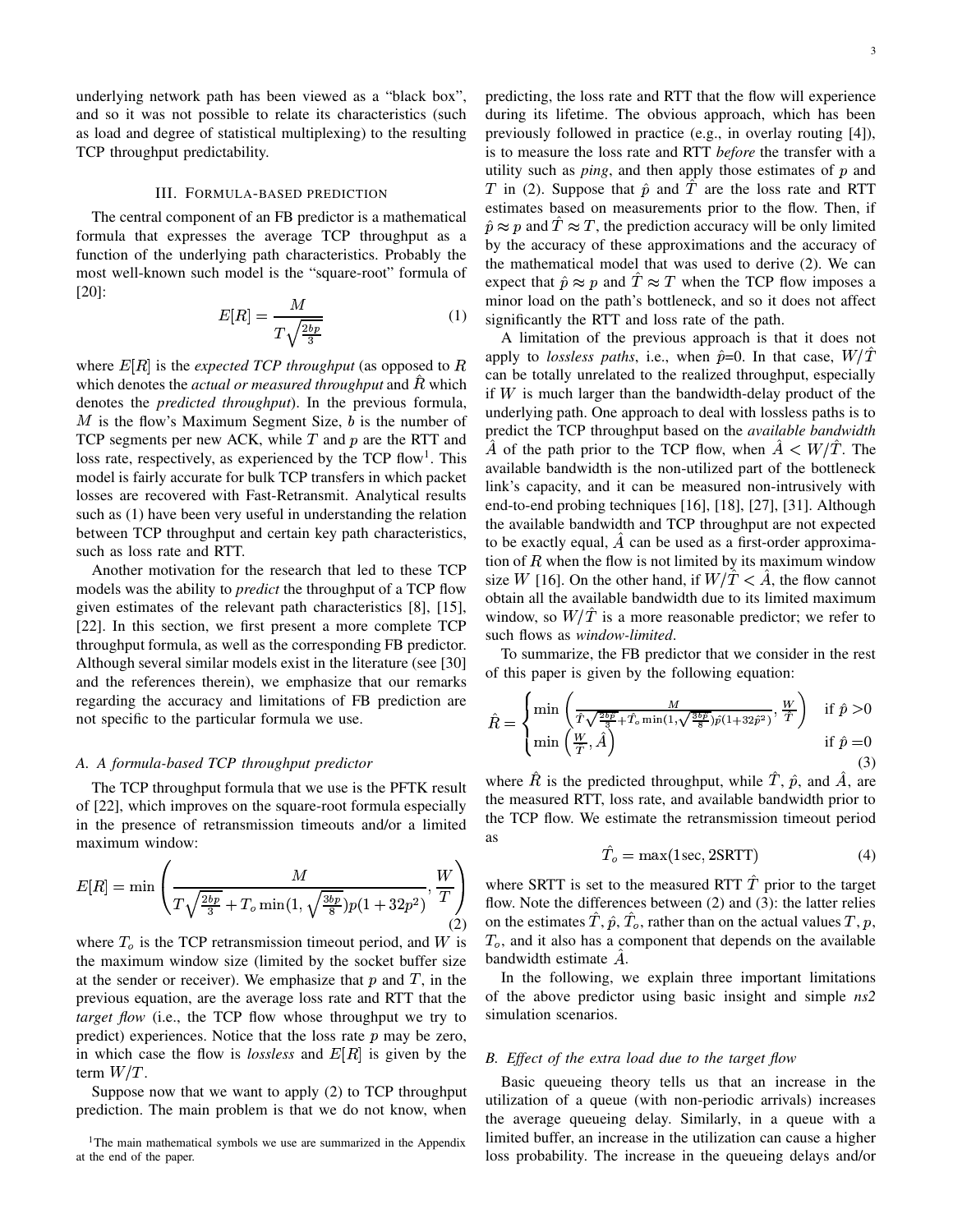underlying network path has been viewed as a "black box", and so it was not possible to relate its characteristics (such as load and degree of statistical multiplexing) to the resulting TCP throughput predictability.

# III. FORMULA-BASED PREDICTION

The central component of an FB predictor is a mathematical formula that expresses the average TCP throughput as a function of the underlying path characteristics. Probably the most well-known such model is the "square-root" formula of [20]:

$$
E[R] = \frac{M}{T\sqrt{\frac{2bp}{3}}}
$$
 (1)

where  $E[R]$  is the *expected TCP throughput* (as opposed to  $R$ which denotes the *actual or measured throughput* and R which  $\frac{\tan \theta}{\tan \theta}$ denotes the *predicted throughput*). In the previous formula,  $M$  is the flow's Maximum Segment Size,  $b$  is the number of TCP segments per new ACK, while  $T$  and  $p$  are the RTT and loss rate, respectively, as experienced by the TCP flow<sup>1</sup>. This model is fairly accurate for bulk TCP transfers in which packet losses are recovered with Fast-Retransmit. Analytical results such as (1) have been very useful in understanding the relation between TCP throughput and certain key path characteristics, such as loss rate and RTT.

Another motivation for the research that led to these TCP models was the ability to *predict* the throughput of a TCP flow given estimates of the relevant path characteristics [8], [15], [22]. In this section, we first present a more complete TCP throughput formula, as well as the corresponding FB predictor. Although several similar models exist in the literature (see [30] and the references therein), we emphasize that our remarks regarding the accuracy and limitations of FB prediction are not specific to the particular formula we use.

# *A. A formula-based TCP throughput predictor*

The TCP throughput formula that we use is the PFTK result of [22], which improves on the square-root formula especially in the presence of retransmission timeouts and/or a limited maximum window:

$$
E[R] = \min\left(\frac{M}{T\sqrt{\frac{2bp}{3}} + T_o \min(1, \sqrt{\frac{3bp}{8}})p(1+32p^2)}, \frac{W}{T}\right)
$$
(2)

where  $T<sub>o</sub>$  is the TCP retransmission timeout period, and W is  $T<sub>o</sub>$ , and it also h the maximum window size (limited by the socket buffer size at the sender or receiver). We emphasize that  $p$  and  $T$ , in the In previous equation, are the average loss rate and RTT that the *target flow* (i.e., the TCP flow whose throughput we try to predict) experiences. Notice that the loss rate  $p$  may be zero, in which case the flow is *lossless* and  $E[R]$  is given by the term  $W/T$ .

Suppose now that we want to apply (2) to TCP throughput prediction. The main problem is that we do not know, when predicting, the loss rate and RTT that the flow will experience during its lifetime. The obvious approach, which has been previously followed in practice (e.g., in overlay routing [4]), is to measure the loss rate and RTT *before* the transfer with a utility such as  $ping$ , and then apply those estimates of  $p$  and T in (2). Suppose that  $\hat{p}$  and T are the loss rate and RTT estimates based on measurements prior to the flow. Then, if  $\hat{p} \approx p$  and  $T \approx T$ , the prediction accuracy will be only limited by the accuracy of these approximations and the accuracy of the mathematical model that was used to derive (2). We can expect that  $\hat{p} \approx p$  and  $T \approx T$  when the TCP flow imposes a minor load on the path's bottleneck, and so it does not affect significantly the RTT and loss rate of the path.

A limitation of the previous approach is that it does not apply to *lossless paths*, i.e., when  $\hat{p}=0$ . In that case,  $W/T$ can be totally unrelated to the realized throughput, especially if  $W$  is much larger than the bandwidth-delay product of the underlying path. One approach to deal with lossless paths is to predict the TCP throughput based on the *available bandwidth* A of the path prior to the TCP flow, when  $A \lt W/T$ . The available bandwidth is the non-utilized part of the bottleneck link's capacity, and it can be measured non-intrusively with end-to-end probing techniques [16], [18], [27], [31]. Although the available bandwidth and TCP throughput are not expected to be exactly equal,  $A$  can be used as a first-order approximation of  $R$  when the flow is not limited by its maximum window size W [16]. On the other hand, if  $W/T < A$ , the flow cannot obtain all the available bandwidth due to its limited maximum window, so  $W/T$  is a more reasonable predictor; we refer to such flows as *window-limited*.

To summarize, the FB predictor that we consider in the rest of this paper is given by the following equation:

$$
\hat{R} = \begin{cases} \min\left(\frac{M}{\hat{T}\sqrt{\frac{2bp}{3}} + \hat{T}_o \min(1, \sqrt{\frac{3bp}{8}})\hat{p}(1+32\hat{p}^2)}, \frac{W}{\hat{T}}\right) & \text{if } \hat{p} > 0\\ \min\left(\frac{W}{\hat{T}}, \hat{A}\right) & \text{if } \hat{p} = 0\\ 0 & (3) \end{cases}
$$

where  $R$  is the predicted throughput, while  $T$ ,  $\hat{p}$ , and  $A$ , are the measured RTT, loss rate, and available bandwidth prior to the TCP flow. We estimate the retransmission timeout period as

$$
\hat{T}_o = \max(\text{1sec}, \text{2SRTT})\tag{4}
$$

where SRTT is set to the measured RTT T prior to the target flow. Note the differences between (2) and (3): the latter relies on the estimates T,  $\hat{p}$ ,  $T_o$ , rather than on the actual values T, p,  $T<sub>o</sub>$ , and it also has a component that depends on the available bandwidth estimate  $A$ .

> In the following, we explain three important limitations of the above predictor using basic insight and simple *ns2* simulation scenarios.

# *B. Effect of the extra load due to the target flow*

Basic queueing theory tells us that an increase in the utilization of a queue (with non-periodic arrivals) increases the average queueing delay. Similarly, in a queue with a limited buffer, an increase in the utilization can cause a higher loss probability. The increase in the queueing delays and/or

<sup>&</sup>lt;sup>1</sup>The main mathematical symbols we use are summarized in the Appendix at the end of the paper.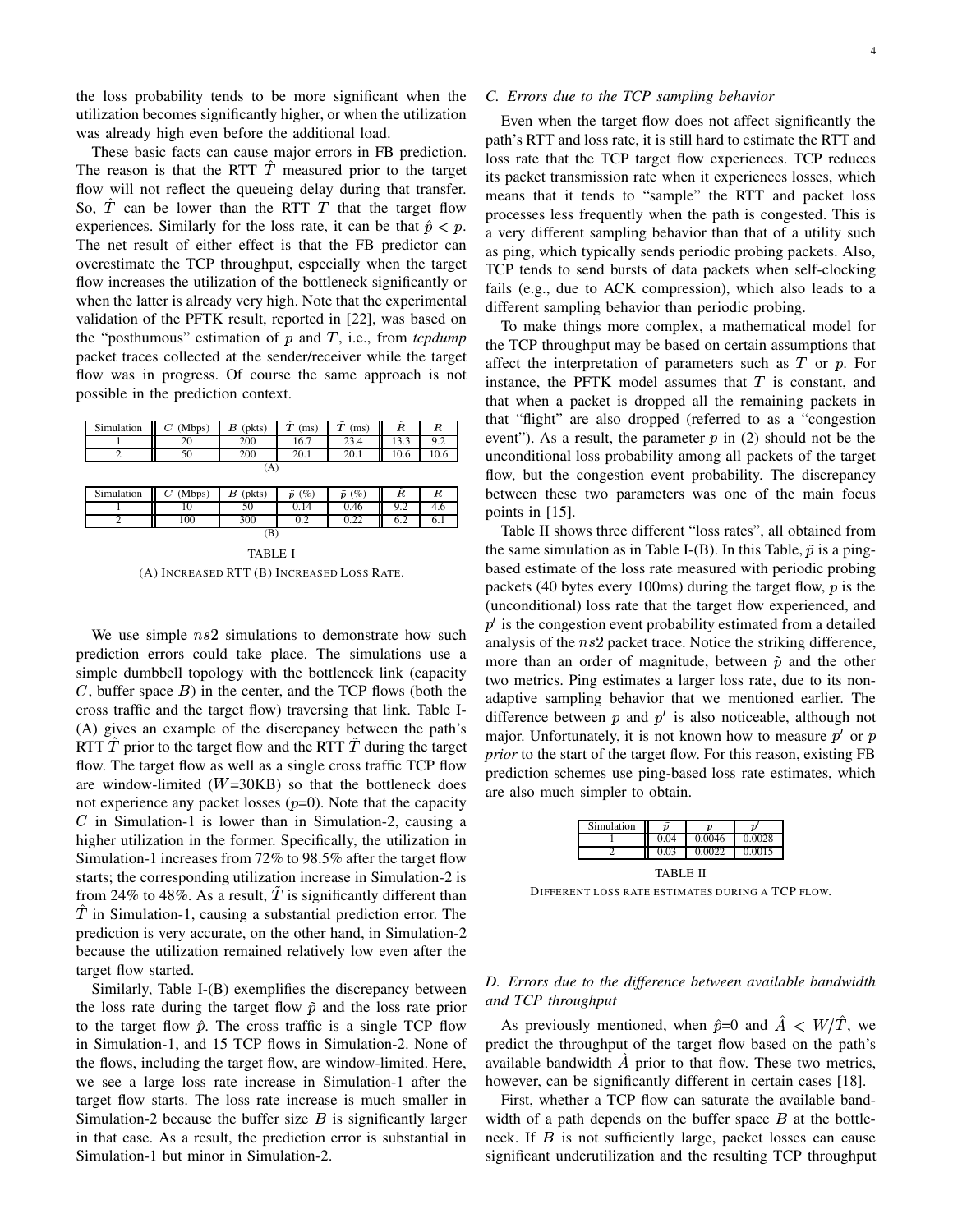the loss probability tends to be more significant when the utilization becomes significantly higher, or when the utilization was already high even before the additional load.

These basic facts can cause major errors in FB prediction. The reason is that the RTT  $T$  measured prior to the target flow will not reflect the queueing delay during that transfer. So,  $T$  can be lower than the RTT  $T$  that the target flow experiences. Similarly for the loss rate, it can be that  $\hat{p} < p$ . The net result of either effect is that the FB predictor can overestimate the TCP throughput, especially when the target flow increases the utilization of the bottleneck significantly or when the latter is already very high. Note that the experimental validation of the PFTK result, reported in [22], was based on the "posthumous" estimation of  $p$  and  $T$ , i.e., from *tcpdump* packet traces collected at the sender/receiver while the target flow was in progress. Of course the same approach is not possible in the prediction context.

|            |        |                      |                |                 |      |      | that   |
|------------|--------|----------------------|----------------|-----------------|------|------|--------|
| Simulation | (Mbps) | $(\text{pkts})$<br>В | $\hat{T}$ (ms) | Т<br>(ms)       | R    | R    |        |
|            | 20     | 200                  | 16.7           | 23.4            | 13.3 | 9.2  | event  |
|            | 50     | 200                  | 20.1           | 20.1            | 10.6 | 10.6 | uncor  |
|            |        | (A)                  |                |                 |      |      | flow,  |
| Simulation | (Mbps) | (pkts)<br>В          | $\hat{p}$ (%)  | $\tilde{p}$ (%) | R    | R    | betwe  |
|            | 10     | 50                   | 0.14           | 0.46            | 9.2  | 4.6  | points |
| 2          | 100    | 300                  | 0.2            | 0.22            | 6.2  | 6.1  |        |
|            |        | (B)                  |                |                 |      |      | Tal    |

TABLE I (A) INCREASED RTT (B) INCREASED LOSS RATE.

We use simple  $ns2$  simulations to demonstrate how such prediction errors could take place. The simulations use a simple dumbbell topology with the bottleneck link (capacity  $C$ , buffer space  $B$ ) in the center, and the TCP flows (both the cross traffic and the target flow) traversing that link. Table I- (A) gives an example of the discrepancy between the path's RTT  $T$  prior to the target flow and the RTT  $T$  during the target flow. The target flow as well as a single cross traffic TCP flow are window-limited  $(W=30KB)$  so that the bottleneck does not experience any packet losses  $(p=0)$ . Note that the capacity  $C$  in Simulation-1 is lower than in Simulation-2, causing a higher utilization in the former. Specifically, the utilization in Simulation-1 increases from 72% to 98.5% after the target flow starts; the corresponding utilization increase in Simulation-2 is from 24% to 48%. As a result,  $T$  is significantly different than  $T$  in Simulation-1, causing a substantial prediction error. The prediction is very accurate, on the other hand, in Simulation-2 because the utilization remained relatively low even after the target flow started.

Similarly, Table I-(B) exemplifies the discrepancy between the loss rate during the target flow  $\tilde{p}$  and the loss rate prior to the target flow  $\hat{p}$ . The cross traffic is a single TCP flow in Simulation-1, and 15 TCP flows in Simulation-2. None of the flows, including the target flow, are window-limited. Here, we see a large loss rate increase in Simulation-1 after the target flow starts. The loss rate increase is much smaller in Simulation-2 because the buffer size  $B$  is significantly larger in that case. As a result, the prediction error is substantial in Simulation-1 but minor in Simulation-2.

# *C. Errors due to the TCP sampling behavior*

Even when the target flow does not affect significantly the path's RTT and loss rate, it is still hard to estimate the RTT and loss rate that the TCP target flow experiences. TCP reduces its packet transmission rate when it experiences losses, which means that it tends to "sample" the RTT and packet loss processes less frequently when the path is congested. This is a very different sampling behavior than that of a utility such as ping, which typically sends periodic probing packets. Also, TCP tends to send bursts of data packets when self-clocking fails (e.g., due to ACK compression), which also leads to a different sampling behavior than periodic probing.

 $\left( % \right)$  |  $\hat{R}$  |  $\hat{R}$  | between these two parameters was one of the main focus To make things more complex, a mathematical model for the TCP throughput may be based on certain assumptions that affect the interpretation of parameters such as  $T$  or  $p$ . For instance, the PFTK model assumes that  $T$  is constant, and that when a packet is dropped all the remaining packets in that "flight" are also dropped (referred to as a "congestion event"). As a result, the parameter  $p$  in (2) should not be the unconditional loss probability among all packets of the target flow, but the congestion event probability. The discrepancy points in [15].

> Table II shows three different "loss rates", all obtained from the same simulation as in Table I-(B). In this Table,  $\tilde{p}$  is a pingbased estimate of the loss rate measured with periodic probing packets (40 bytes every 100ms) during the target flow,  $p$  is the (unconditional) loss rate that the target flow experienced, and  $p'$  is the congestion event probability estimated from a detailed analysis of the  $ns2$  packet trace. Notice the striking difference, more than an order of magnitude, between  $\tilde{p}$  and the other two metrics. Ping estimates a larger loss rate, due to its nonadaptive sampling behavior that we mentioned earlier. The difference between  $p$  and  $p'$  is also noticeable, although not major. Unfortunately, it is not known how to measure  $p'$  or  $p$ *prior* to the start of the target flow. For this reason, existing FB prediction schemes use ping-based loss rate estimates, which are also much simpler to obtain.

| Simulation |      | η      |     |
|------------|------|--------|-----|
|            | 0.04 | 0.0046 | ነንՋ |
|            | 0.03 | 0022   |     |

TABLE II DIFFERENT LOSS RATE ESTIMATES DURING A TCP FLOW.

# *D. Errors due to the difference between available bandwidth and TCP throughput*

As previously mentioned, when  $\hat{p}=0$  and  $A \langle W/T, w$ e predict the throughput of the target flow based on the path's available bandwidth  $A$  prior to that flow. These two metrics, however, can be significantly different in certain cases [18].

First, whether a TCP flow can saturate the available bandwidth of a path depends on the buffer space  $B$  at the bottleneck. If  $B$  is not sufficiently large, packet losses can cause significant underutilization and the resulting TCP throughput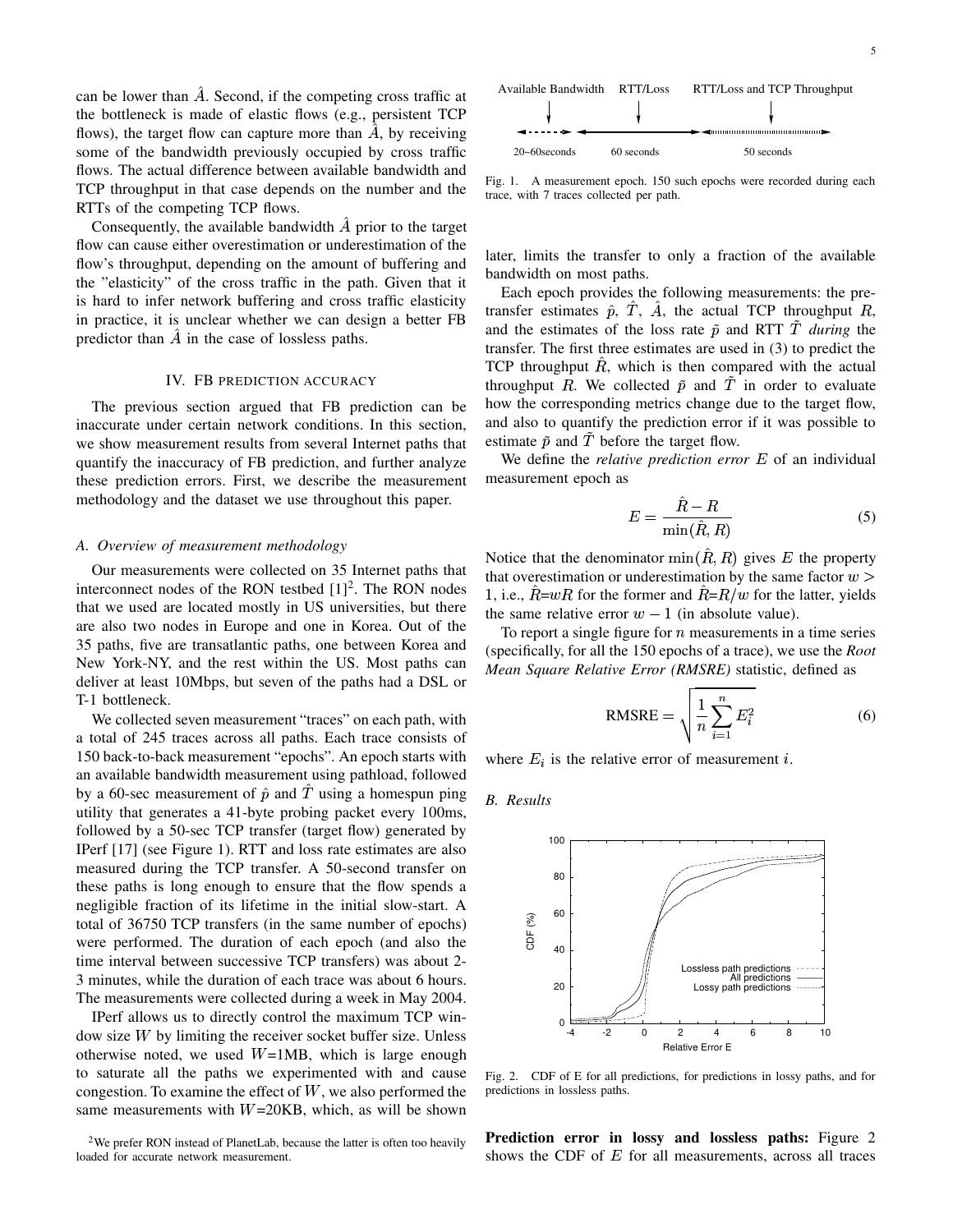can be lower than A. Second, if the competing cross traffic at the bottleneck is made of elastic flows (e.g., persistent TCP flows), the target flow can capture more than  $A$ , by receiving some of the bandwidth previously occupied by cross traffic flows. The actual difference between available bandwidth and TCP throughput in that case depends on the number and the RTTs of the competing TCP flows.

Consequently, the available bandwidth  $A$  prior to the target flow can cause either overestimation or underestimation of the flow's throughput, depending on the amount of buffering and the "elasticity" of the cross traffic in the path. Given that it is hard to infer network buffering and cross traffic elasticity in practice, it is unclear whether we can design a better FB predictor than  $A$  in the case of lossless paths.

## IV. FB PREDICTION ACCURACY

The previous section argued that FB prediction can be inaccurate under certain network conditions. In this section, we show measurement results from several Internet paths that quantify the inaccuracy of FB prediction, and further analyze these prediction errors. First, we describe the measurement methodology and the dataset we use throughout this paper.

# *A. Overview of measurement methodology*

Our measurements were collected on 35 Internet paths that interconnect nodes of the RON testbed  $[1]^2$ . The RON nodes that we used are located mostly in US universities, but there are also two nodes in Europe and one in Korea. Out of the 35 paths, five are transatlantic paths, one between Korea and New York-NY, and the rest within the US. Most paths can deliver at least 10Mbps, but seven of the paths had a DSL or T-1 bottleneck.

We collected seven measurement "traces" on each path, with a total of 245 traces across all paths. Each trace consists of 150 back-to-back measurement "epochs". An epoch starts with an available bandwidth measurement using pathload, followed by a 60-sec measurement of  $\hat{p}$  and  $\hat{T}$  using a homespun ping utility that generates a 41-byte probing packet every 100ms, followed by a 50-sec TCP transfer (target flow) generated by IPerf [17] (see Figure 1). RTT and loss rate estimates are also measured during the TCP transfer. A 50-second transfer on these paths is long enough to ensure that the flow spends a negligible fraction of its lifetime in the initial slow-start. A total of 36750 TCP transfers (in the same number of epochs) were performed. The duration of each epoch (and also the time interval between successive TCP transfers) was about 2- 3 minutes, while the duration of each trace was about 6 hours. The measurements were collected during a week in May 2004.

IPerf allows us to directly control the maximum TCP window size  $W$  by limiting the receiver socket buffer size. Unless otherwise noted, we used  $W=1MB$ , which is large enough to saturate all the paths we experimented with and cause congestion. To examine the effect of  $W$ , we also performed the same measurements with  $W=20KB$ , which, as will be shown

<sup>2</sup>We prefer RON instead of PlanetLab, because the latter is often too heavily loaded for accurate network measurement.



Fig. 1. A measurement epoch. 150 such epochs were recorded during each trace, with 7 traces collected per path.

later, limits the transfer to only a fraction of the available bandwidth on most paths.

Each epoch provides the following measurements: the pretransfer estimates  $\hat{p}$ , T, A, the actual TCP throughput R, and the estimates of the loss rate  $\tilde{p}$  and RTT T *during* the transfer. The first three estimates are used in (3) to predict the TCP throughput  $R$ , which is then compared with the actual throughput R. We collected  $\tilde{p}$  and T in order to evaluate how the corresponding metrics change due to the target flow, and also to quantify the prediction error if it was possible to estimate  $\tilde{p}$  and T before the target flow.

We define the *relative prediction error*  $E$  of an individual measurement epoch as

$$
E = \frac{\hat{R} - R}{\min(\hat{R}, R)}\tag{5}
$$

Notice that the denominator  $min(R, R)$  gives E the property that overestimation or underestimation by the same factor  $w >$ 1, i.e.,  $R= wR$  for the former and  $R=R/w$  for the latter, yields the same relative error  $w - 1$  (in absolute value).

To report a single figure for  $n$  measurements in a time series (specifically, for all the 150 epochs of a trace), we use the *Root Mean Square Relative Error (RMSRE)* statistic, defined as

$$
RMSRE = \sqrt{\frac{1}{n} \sum_{i=1}^{n} E_i^2}
$$
 (6)

where  $E_i$  is the relative error of measurement *i*.

*B. Results*



Fig. 2. CDF of E for all predictions, for predictions in lossy paths, and for predictions in lossless paths.

**Prediction error in lossy and lossless paths:** Figure 2 shows the CDF of  $E$  for all measurements, across all traces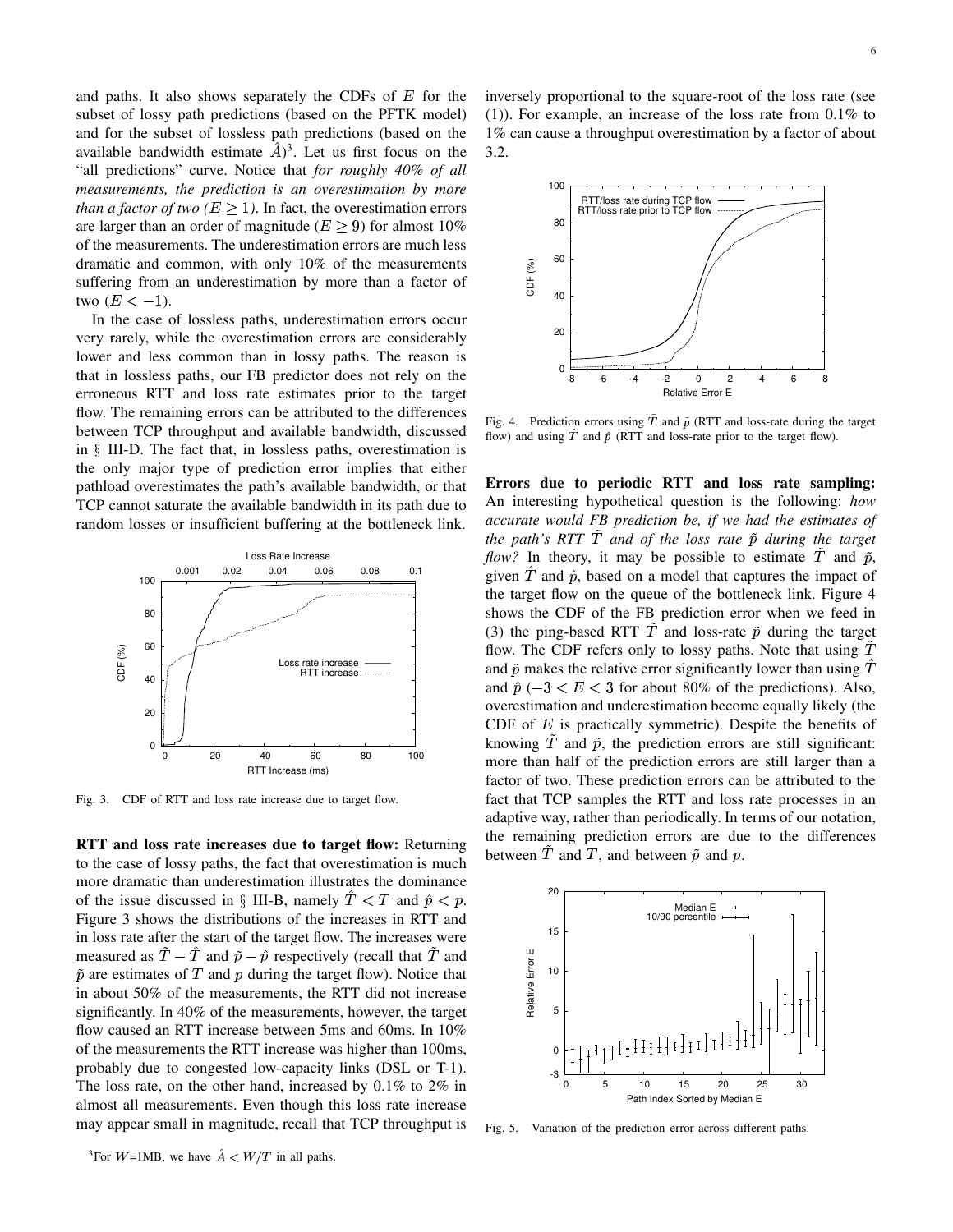and paths. It also shows separately the CDFs of  $E$  for the inver subset of lossy path predictions (based on the PFTK model) and for the subset of lossless path predictions (based on the available bandwidth estimate  $\hat{A}$ )<sup>3</sup>. Let us first focus on the "all predictions" curve. Notice that *for roughly 40% of all measurements, the prediction is an overestimation by more than a factor of two* ( $E \geq 1$ ). In fact, the overestimation errors are larger than an order of magnitude ( $E \geq 9$ ) for almost 10% of the measurements. The underestimation errors are much less dramatic and common, with only 10% of the measurements suffering from an underestimation by more than a factor of two  $(E < -1)$ .

In the case of lossless paths, underestimation errors occur very rarely, while the overestimation errors are considerably lower and less common than in lossy paths. The reason is that in lossless paths, our FB predictor does not rely on the erroneous RTT and loss rate estimates prior to the target flow. The remaining errors can be attributed to the differences between TCP throughput and available bandwidth, discussed in  $\S$  III-D. The fact that, in lossless paths, overestimation is the only major type of prediction error implies that either pathload overestimates the path's available bandwidth, or that TCP cannot saturate the available bandwidth in its path due to random losses or insufficient buffering at the bottleneck link.



Fig. 3. CDF of RTT and loss rate increase due to target flow.

**RTT and loss rate increases due to target flow:** Returning to the case of lossy paths, the fact that overestimation is much more dramatic than underestimation illustrates the dominance of the issue discussed in  $\S$  III-B, namely  $T < T$  and  $\hat{p} < p$ . Figure 3 shows the distributions of the increases in RTT and in loss rate after the start of the target flow. The increases were measured as  $T - T$  and  $\tilde{p} - \hat{p}$  respectively (recall that T and  $\tilde{p}$  are estimates of T and p during the target flow). Notice that in about 50% of the measurements, the RTT did not increase significantly. In 40% of the measurements, however, the target flow caused an RTT increase between 5ms and 60ms. In 10% of the measurements the RTT increase was higher than 100ms, probably due to congested low-capacity links (DSL or T-1). The loss rate, on the other hand, increased by 0.1% to 2% in almost all measurements. Even though this loss rate increase may appear small in magnitude, recall that TCP throughput is

inversely proportional to the square-root of the loss rate (see (1)). For example, an increase of the loss rate from 0.1% to 1% can cause a throughput overestimation by a factor of about 3.2.



Fig. 4. Prediction errors using T and  $\tilde{p}$  (RTT and loss-rate during the target flow) and using T and  $\hat{p}$  (RTT and loss-rate prior to the target flow).

**Errors due to periodic RTT and loss rate sampling:** An interesting hypothetical question is the following: *how accurate would FB prediction be, if we had the estimates of the path's RTT T and of the loss rate*  $\tilde{p}$  *during the target flow?* In theory, it may be possible to estimate T and  $\tilde{p}$ , given  $T$  and  $\hat{p}$ , based on a model that captures the impact of the target flow on the queue of the bottleneck link. Figure 4 shows the CDF of the FB prediction error when we feed in (3) the ping-based RTT T and loss-rate  $\tilde{p}$  during the target flow. The CDF refers only to lossy paths. Note that using  $\tilde{T}$ and  $\tilde{p}$  makes the relative error significantly lower than using  $T$ and  $\hat{p}$  (-3 < E < 3 for about 80% of the predictions). Also, overestimation and underestimation become equally likely (the CDF of  $E$  is practically symmetric). Despite the benefits of knowing  $T$  and  $\tilde{p}$ , the prediction errors are still significant: more than half of the prediction errors are still larger than a factor of two. These prediction errors can be attributed to the fact that TCP samples the RTT and loss rate processes in an adaptive way, rather than periodically. In terms of our notation, the remaining prediction errors are due to the differences between T and T, and between  $\tilde{p}$  and p.



Fig. 5. Variation of the prediction error across different paths.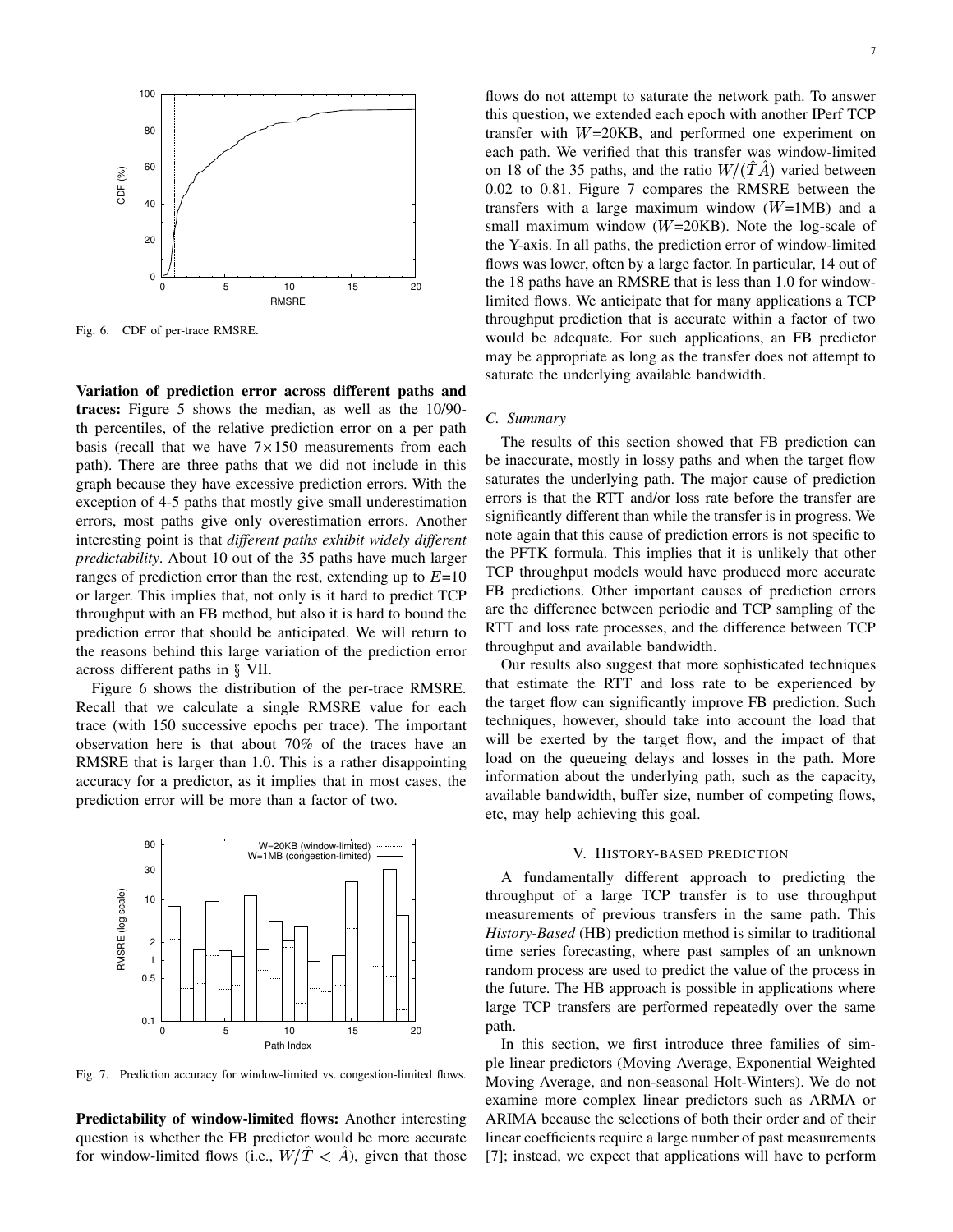

Fig. 6. CDF of per-trace RMSRE.

**Variation of prediction error across different paths and traces:** Figure 5 shows the median, as well as the 10/90 th percentiles, of the relative prediction error on a per path basis (recall that we have  $7 \times 150$  measurements from each path). There are three paths that we did not include in this graph because they have excessive prediction errors. With the exception of 4-5 paths that mostly give small underestimation errors, most paths give only overestimation errors. Another interesting point is that *different paths exhibit widely different predictability*. About 10 out of the 35 paths have much larger ranges of prediction error than the rest, extending up to  $E=10$  LCP uno or larger. This implies that, not only is it hard to predict TCP throughput with an FB method, but also it is hard to bound the prediction error that should be anticipated. We will return to the reasons behind this large variation of the prediction error across different paths in  $\S$  VII.

Figure 6 shows the distribution of the per-trace RMSRE. Recall that we calculate a single RMSRE value for each trace (with 150 successive epochs per trace). The important observation here is that about 70% of the traces have an RMSRE that is larger than 1.0. This is a rather disappointing accuracy for a predictor, as it implies that in most cases, the prediction error will be more than a factor of two.



Fig. 7. Prediction accuracy for window-limited vs. congestion-limited flows.

**Predictability of window-limited flows:** Another interesting question is whether the FB predictor would be more accurate for window-limited flows (i.e.,  $W/T < A$ ), given that those

flows do not attempt to saturate the network path. To answer this question, we extended each epoch with another IPerf TCP transfer with  $W=20KB$ , and performed one experiment on each path. We verified that this transfer was window-limited on 18 of the 35 paths, and the ratio  $W/(TA)$  varied between 0.02 to 0.81. Figure 7 compares the RMSRE between the transfers with a large maximum window  $(W=1MB)$  and a small maximum window  $(W=20KB)$ . Note the log-scale of the Y-axis. In all paths, the prediction error of window-limited flows was lower, often by a large factor. In particular, 14 out of the 18 paths have an RMSRE that is less than 1.0 for windowlimited flows. We anticipate that for many applications a TCP throughput prediction that is accurate within a factor of two would be adequate. For such applications, an FB predictor may be appropriate as long as the transfer does not attempt to saturate the underlying available bandwidth.

# *C. Summary*

The results of this section showed that FB prediction can be inaccurate, mostly in lossy paths and when the target flow saturates the underlying path. The major cause of prediction errors is that the RTT and/or loss rate before the transfer are significantly different than while the transfer is in progress. We note again that this cause of prediction errors is not specific to the PFTK formula. This implies that it is unlikely that other TCP throughput models would have produced more accurate FB predictions. Other important causes of prediction errors are the difference between periodic and TCP sampling of the RTT and loss rate processes, and the difference between TCP throughput and available bandwidth.

Our results also suggest that more sophisticated techniques that estimate the RTT and loss rate to be experienced by the target flow can significantly improve FB prediction. Such techniques, however, should take into account the load that will be exerted by the target flow, and the impact of that load on the queueing delays and losses in the path. More information about the underlying path, such as the capacity, available bandwidth, buffer size, number of competing flows, etc, may help achieving this goal.

# V. HISTORY-BASED PREDICTION

A fundamentally different approach to predicting the throughput of a large TCP transfer is to use throughput measurements of previous transfers in the same path. This *History-Based* (HB) prediction method is similar to traditional time series forecasting, where past samples of an unknown random process are used to predict the value of the process in the future. The HB approach is possible in applications where large TCP transfers are performed repeatedly over the same path.

In this section, we first introduce three families of simple linear predictors (Moving Average, Exponential Weighted Moving Average, and non-seasonal Holt-Winters). We do not examine more complex linear predictors such as ARMA or ARIMA because the selections of both their order and of their linear coefficients require a large number of past measurements [7]; instead, we expect that applications will have to perform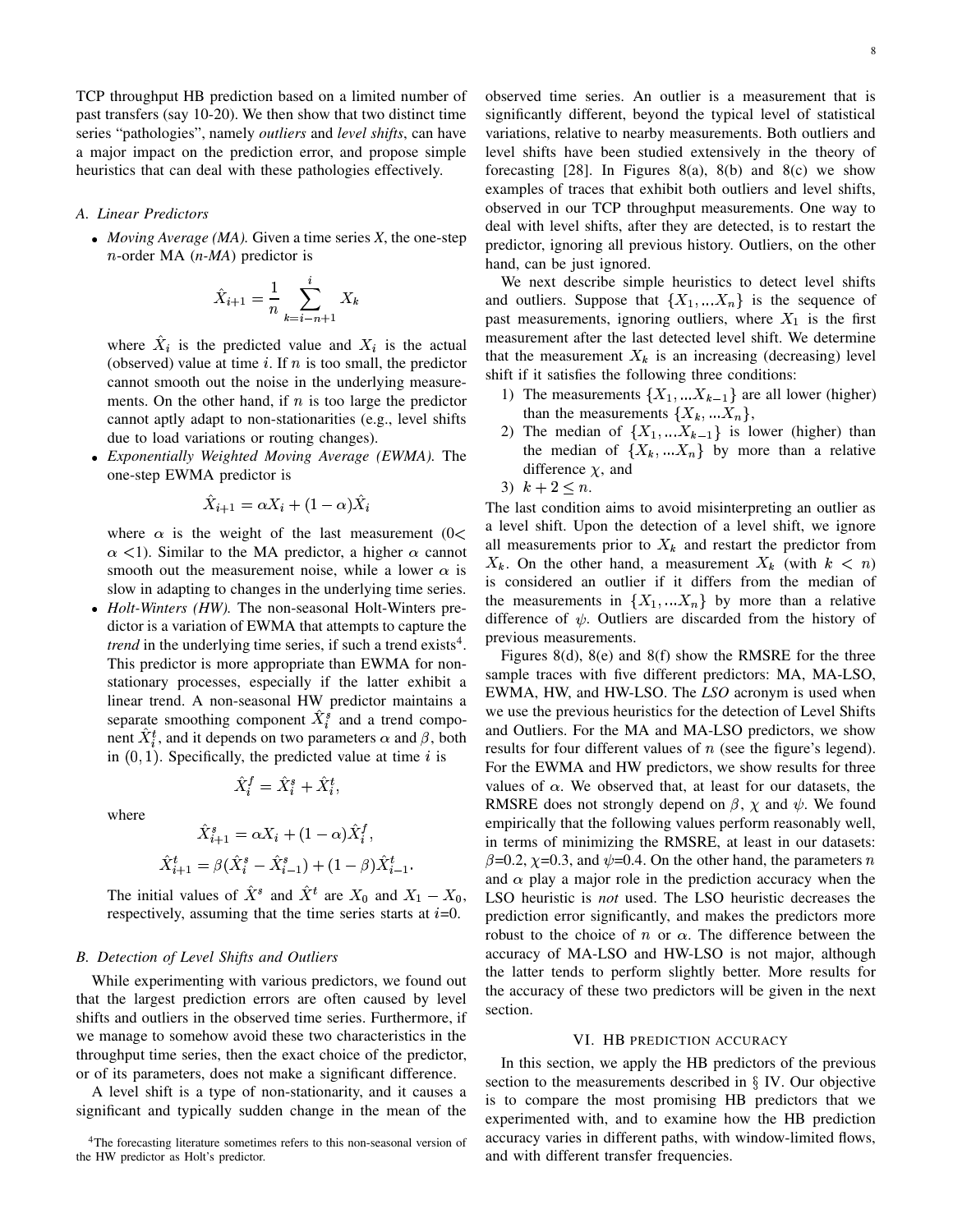TCP throughput HB prediction based on a limited number of past transfers (say 10-20). We then show that two distinct time series "pathologies", namely *outliers* and *level shifts*, can have a major impact on the prediction error, and propose simple heuristics that can deal with these pathologies effectively.

# *A. Linear Predictors*

 *Moving Average (MA).* Given a time series *X*, the one-step n-order MA (*n-MA*) predictor is

$$
\hat{X}_{i+1} = \frac{1}{n} \sum_{k=i-n+1}^{i} X_k
$$
 and  
pass

where  $\hat{X}_i$  is the predicted value and  $X_i$  is the actual (observed) value at time  $i$ . If  $n$  is too small, the predictor cannot smooth out the noise in the underlying measurements. On the other hand, if  $n$  is too large the predictor cannot aptly adapt to non-stationarities (e.g., level shifts due to load variations or routing changes).

 *Exponentially Weighted Moving Average (EWMA).* The one-step EWMA predictor is

$$
\hat{X}_{i+1} = \alpha X_i + (1 - \alpha) \hat{X}_i
$$

where  $\alpha$  is the weight of the last measurement  $(0<\alpha)$  level since  $\alpha$  <1). Similar to the MA predictor, a higher  $\alpha$  cannot smooth out the measurement noise, while a lower  $\alpha$  is  $\lambda^{k}$ . slow in adapting to changes in the underlying time series.

 *Holt-Winters (HW).* The non-seasonal Holt-Winters predictor is a variation of EWMA that attempts to capture the *trend* in the underlying time series, if such a trend exists<sup>4</sup>. This predictor is more appropriate than EWMA for nonstationary processes, especially if the latter exhibit a linear trend. A non-seasonal HW predictor maintains a linear trend. A non-seasonal HW predictor maintains a separate smoothing component  $\hat{X}^s_i$  and a trend composeparate smoothing component  $X_i^s$  and a trend component  $\hat{X}_i^t$ , and it depends on two parameters  $\alpha$  and  $\beta$ , both in  $(0, 1)$ . Specifically, the predicted value at time *i* is

$$
\hat{X}_i^f = \hat{X}_i^s + \hat{X}_i^t,
$$

where

$$
\hat{X}_{i+1}^s = \alpha X_i + (1 - \alpha) \hat{X}_i^f,
$$
  

$$
\hat{X}_{i+1}^t = \beta (\hat{X}_i^s - \hat{X}_{i-1}^s) + (1 - \beta) \hat{X}_{i-1}^t.
$$

The initial values of  $X^s$  and  $X^t$  are  $X_0$  and  $X_1 - X_0$ , LSO respectively, assuming that the time series starts at  $i=0$ .

# *B. Detection of Level Shifts and Outliers*

While experimenting with various predictors, we found out that the largest prediction errors are often caused by level shifts and outliers in the observed time series. Furthermore, if we manage to somehow avoid these two characteristics in the throughput time series, then the exact choice of the predictor, or of its parameters, does not make a significant difference.

A level shift is a type of non-stationarity, and it causes a significant and typically sudden change in the mean of the observed time series. An outlier is a measurement that is significantly different, beyond the typical level of statistical variations, relative to nearby measurements. Both outliers and level shifts have been studied extensively in the theory of forecasting [28]. In Figures 8(a), 8(b) and 8(c) we show examples of traces that exhibit both outliers and level shifts, observed in our TCP throughput measurements. One way to deal with level shifts, after they are detected, is to restart the predictor, ignoring all previous history. Outliers, on the other hand, can be just ignored.

We next describe simple heuristics to detect level shifts and outliers. Suppose that  $\{X_1, \ldots X_n\}$  is the sequence of past measurements, ignoring outliers, where  $X_1$  is the first measurement ofter the last detected layel chift. We determine past measurements, ignoring outliers, where  $X_1$  is the first measurement after the last detected level shift. We determine that the measurement  $X_k$  is an increasing (decreasing) level shift if it satisfies the following three conditions:<br>
(1) The measurements  $\begin{bmatrix} X & Y \\ Y & Y \end{bmatrix}$  are all loss

- 1) The measurements  $\{X_1, \dots X_{k-1}\}$  are all lower (higher) than the measurements  $\{X_k, \dots, X_n\}$ ,<br>The median of  $\{X_{k+1}, \dots, X_n\}$  is lower (higher)
- . . . . . . . . . . than the measurements  $\{X_k, \dots, X_n\}$ ,<br>
2) The median of  $\{X_1, \dots, X_{k-1}\}$  is lower (higher) than<br>
the median of  $\{X_1, \dots, X_k\}$ , by more than a relative the median of  $\{X_k,...X_n\}$  by more than a relative difference  $\chi$ , and
- 3)  $k + 2 < n$ .

The last condition aims to avoid misinterpreting an outlier as a level shift. Upon the detection of a level shift, we ignore all measurements prior to  $X_k$  and restart the predictor from  $X_k$ . On the other hand, a measurement  $X_k$  (with  $k < n$ ) is considered an outlier if it differs from the median of the measurements in  $\{X_1, ... X_n\}$  by more than a relative difference of  $\psi$ . Outliers are discarded from the history of previous measurements.

Figures 8(d), 8(e) and 8(f) show the RMSRE for the three sample traces with five different predictors: MA, MA-LSO, EWMA, HW, and HW-LSO. The *LSO* acronym is used when we use the previous heuristics for the detection of Level Shifts and Outliers. For the MA and MA-LSO predictors, we show results for four different values of  $n$  (see the figure's legend). For the EWMA and HW predictors, we show results for three values of  $\alpha$ . We observed that, at least for our datasets, the RMSRE does not strongly depend on  $\beta$ ,  $\chi$  and  $\psi$ . We found empirically that the following values perform reasonably well, in terms of minimizing the RMSRE, at least in our datasets:  $\beta$ =0.2,  $\chi$ =0.3, and  $\psi$ =0.4. On the other hand, the parameters n and  $\alpha$  play a major role in the prediction accuracy when the LSO heuristic is *not* used. The LSO heuristic decreases the prediction error significantly, and makes the predictors more robust to the choice of  $n$  or  $\alpha$ . The difference between the accuracy of MA-LSO and HW-LSO is not major, although the latter tends to perform slightly better. More results for the accuracy of these two predictors will be given in the next section.

# VI. HB PREDICTION ACCURACY

In this section, we apply the HB predictors of the previous section to the measurements described in  $\S$  IV. Our objective is to compare the most promising HB predictors that we experimented with, and to examine how the HB prediction accuracy varies in different paths, with window-limited flows, and with different transfer frequencies.

<sup>&</sup>lt;sup>4</sup>The forecasting literature sometimes refers to this non-seasonal version of the HW predictor as Holt's predictor.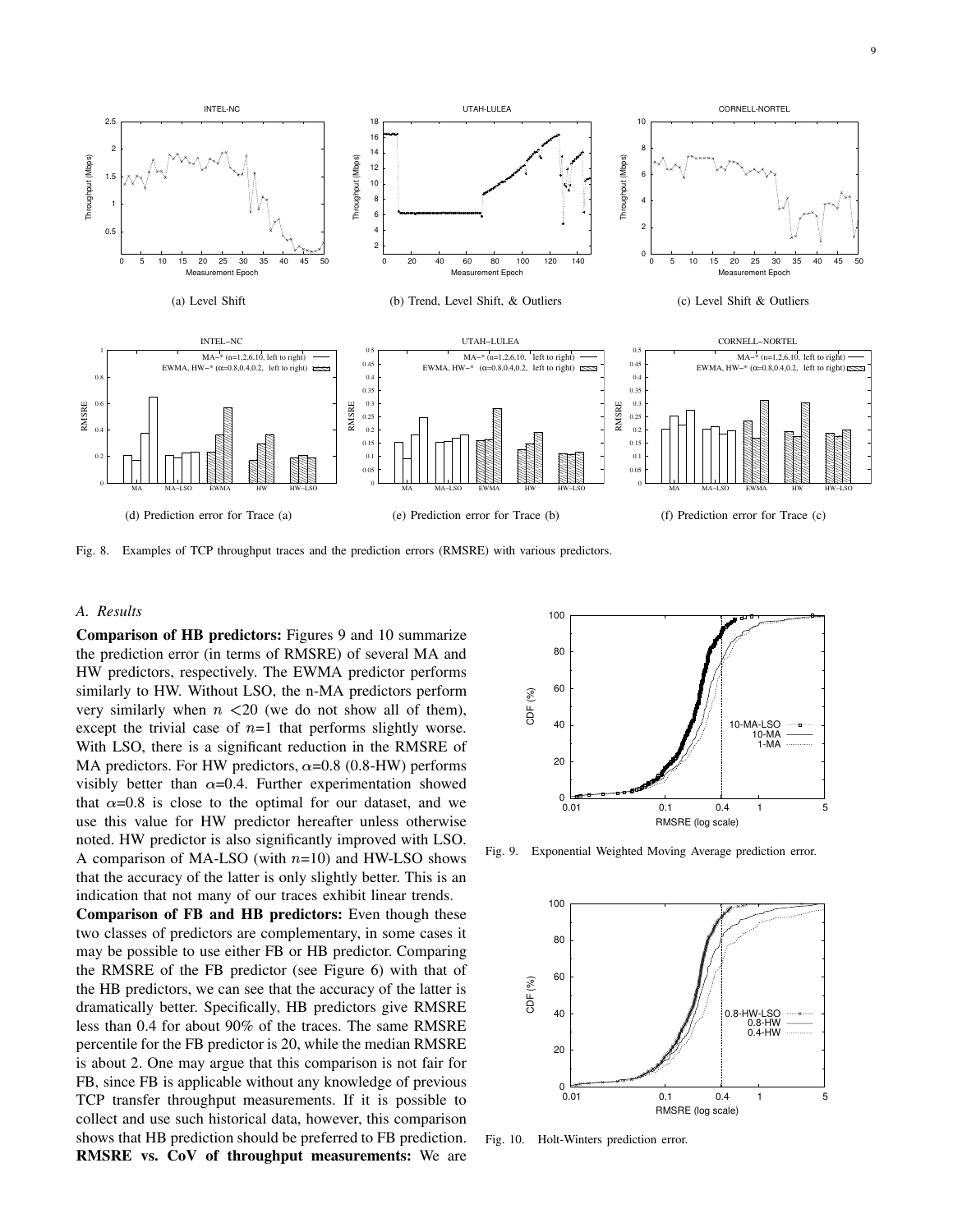

Fig. 8. Examples of TCP throughput traces and the prediction errors (RMSRE) with various predictors.

## *A. Results*

**Comparison of HB predictors:** Figures 9 and 10 summarize the prediction error (in terms of RMSRE) of several MA and HW predictors, respectively. The EWMA predictor performs similarly to HW. Without LSO, the n-MA predictors perform very similarly when  $n < 20$  (we do not show all of them), except the trivial case of  $n=1$  that performs slightly worse. With LSO, there is a significant reduction in the RMSRE of MA predictors. For HW predictors,  $\alpha$ =0.8 (0.8-HW) performs visibly better than  $\alpha$ =0.4. Further experimentation showed that  $\alpha$ =0.8 is close to the optimal for our dataset, and we use this value for HW predictor hereafter unless otherwise noted. HW predictor is also significantly improved with LSO. A comparison of MA-LSO (with  $n=10$ ) and HW-LSO shows that the accuracy of the latter is only slightly better. This is an indication that not many of our traces exhibit linear trends.

**Comparison of FB and HB predictors:** Even though these two classes of predictors are complementary, in some cases it may be possible to use either FB or HB predictor. Comparing the RMSRE of the FB predictor (see Figure 6) with that of the HB predictors, we can see that the accuracy of the latter is dramatically better. Specifically, HB predictors give RMSRE less than 0.4 for about 90% of the traces. The same RMSRE percentile for the FB predictor is 20, while the median RMSRE is about 2. One may argue that this comparison is not fair for FB, since FB is applicable without any knowledge of previous TCP transfer throughput measurements. If it is possible to collect and use such historical data, however, this comparison shows that HB prediction should be preferred to FB prediction. **RMSRE vs. CoV of throughput measurements:** We are



Fig. 9. Exponential Weighted Moving Average prediction error.



Fig. 10. Holt-Winters prediction error.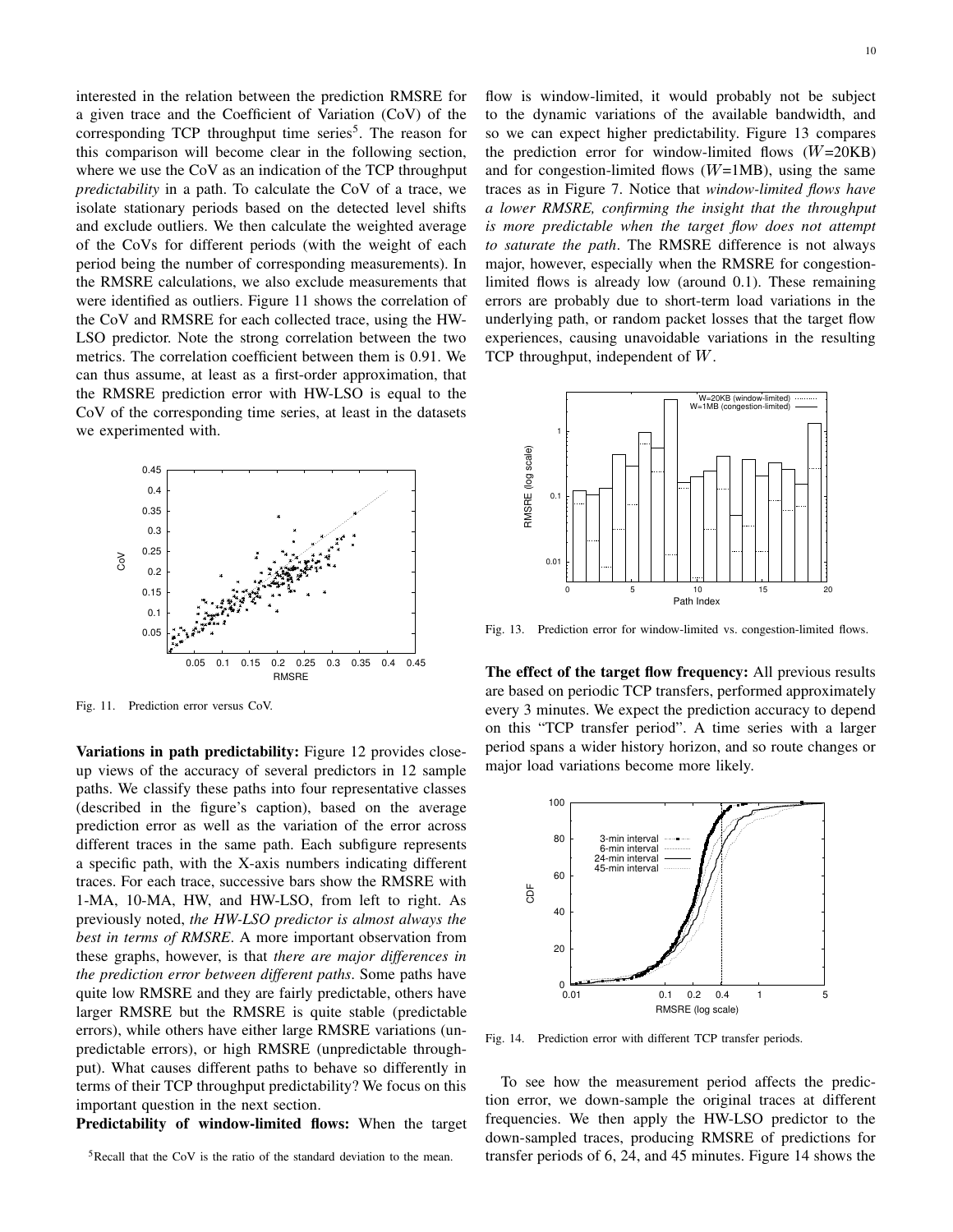interested in the relation between the prediction RMSRE for a given trace and the Coefficient of Variation (CoV) of the corresponding TCP throughput time series<sup>5</sup>. The reason for this comparison will become clear in the following section, where we use the CoV as an indication of the TCP throughput *predictability* in a path. To calculate the CoV of a trace, we isolate stationary periods based on the detected level shifts and exclude outliers. We then calculate the weighted average of the CoVs for different periods (with the weight of each period being the number of corresponding measurements). In the RMSRE calculations, we also exclude measurements that were identified as outliers. Figure 11 shows the correlation of the CoV and RMSRE for each collected trace, using the HW-LSO predictor. Note the strong correlation between the two metrics. The correlation coefficient between them is 0.91. We can thus assume, at least as a first-order approximation, that the RMSRE prediction error with HW-LSO is equal to the CoV of the corresponding time series, at least in the datasets we experimented with.



Fig. 11. Prediction error versus CoV.

**Variations in path predictability:** Figure 12 provides closeup views of the accuracy of several predictors in 12 sample paths. We classify these paths into four representative classes (described in the figure's caption), based on the average prediction error as well as the variation of the error across different traces in the same path. Each subfigure represents a specific path, with the X-axis numbers indicating different traces. For each trace, successive bars show the RMSRE with 1-MA, 10-MA, HW, and HW-LSO, from left to right. As previously noted, *the HW-LSO predictor is almost always the best in terms of RMSRE*. A more important observation from these graphs, however, is that *there are major differences in the prediction error between different paths*. Some paths have quite low RMSRE and they are fairly predictable, others have larger RMSRE but the RMSRE is quite stable (predictable errors), while others have either large RMSRE variations (unpredictable errors), or high RMSRE (unpredictable throughput). What causes different paths to behave so differently in terms of their TCP throughput predictability? We focus on this important question in the next section.

**Predictability of window-limited flows:** When the target

flow is window-limited, it would probably not be subject to the dynamic variations of the available bandwidth, and so we can expect higher predictability. Figure 13 compares the prediction error for window-limited flows  $(W=20KB)$ and for congestion-limited flows  $(W=1MB)$ , using the same traces as in Figure 7. Notice that *window-limited flows have a lower RMSRE, confirming the insight that the throughput is more predictable when the target flow does not attempt to saturate the path*. The RMSRE difference is not always major, however, especially when the RMSRE for congestionlimited flows is already low (around 0.1). These remaining errors are probably due to short-term load variations in the underlying path, or random packet losses that the target flow experiences, causing unavoidable variations in the resulting TCP throughput, independent of  $W$ .



Fig. 13. Prediction error for window-limited vs. congestion-limited flows.

**The effect of the target flow frequency:** All previous results are based on periodic TCP transfers, performed approximately every 3 minutes. We expect the prediction accuracy to depend on this "TCP transfer period". A time series with a larger period spans a wider history horizon, and so route changes or major load variations become more likely.



Fig. 14. Prediction error with different TCP transfer periods.

To see how the measurement period affects the prediction error, we down-sample the original traces at different frequencies. We then apply the HW-LSO predictor to the down-sampled traces, producing RMSRE of predictions for transfer periods of 6, 24, and 45 minutes. Figure 14 shows the

<sup>&</sup>lt;sup>5</sup>Recall that the CoV is the ratio of the standard deviation to the mean.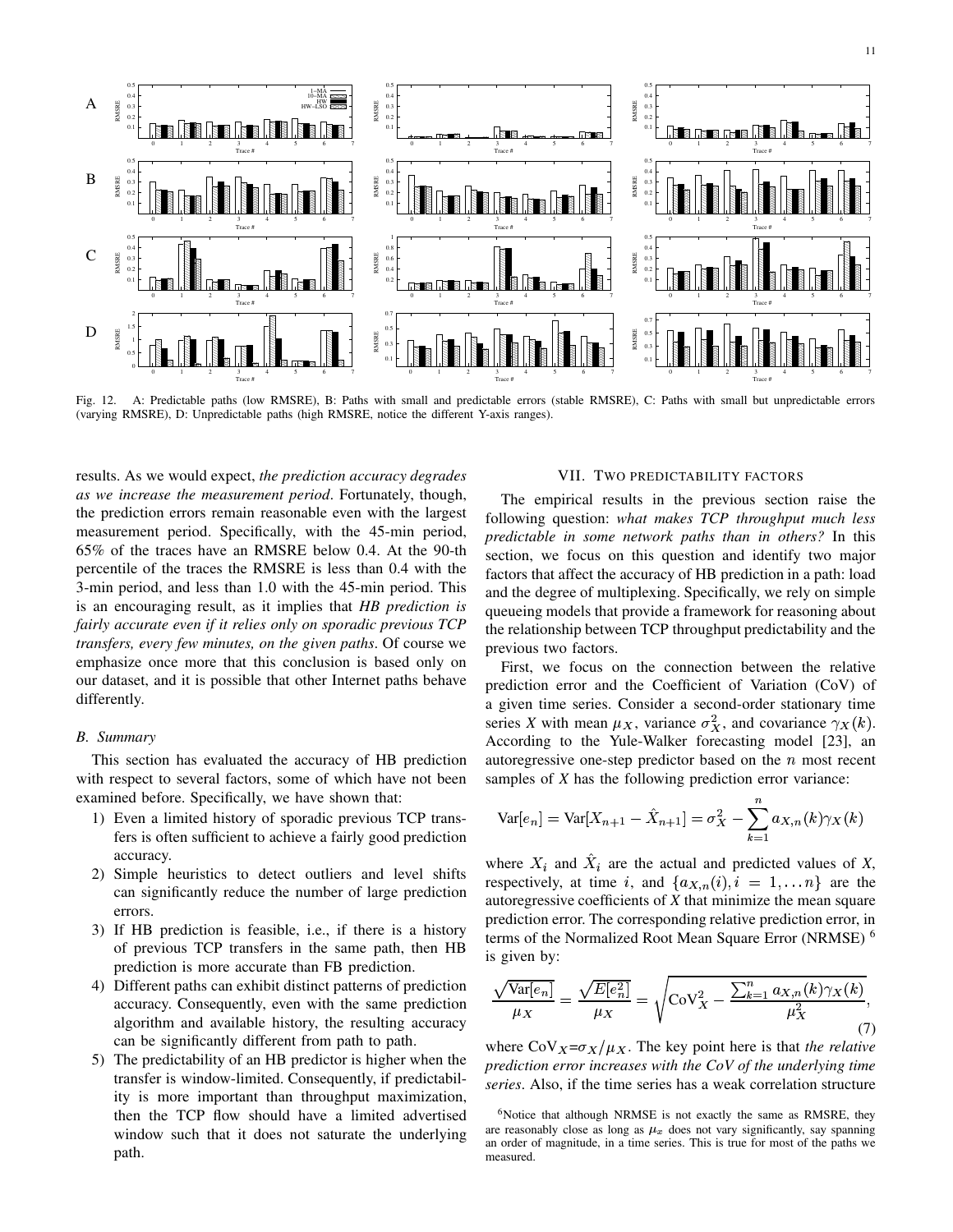

Fig. 12. A: Predictable paths (low RMSRE), B: Paths with small and predictable errors (stable RMSRE), C: Paths with small but unpredictable errors (varying RMSRE), D: Unpredictable paths (high RMSRE, notice the different Y-axis ranges).

results. As we would expect, *the prediction accuracy degrades as we increase the measurement period*. Fortunately, though, the prediction errors remain reasonable even with the largest measurement period. Specifically, with the 45-min period, 65% of the traces have an RMSRE below 0.4. At the 90-th percentile of the traces the RMSRE is less than 0.4 with the 3-min period, and less than 1.0 with the 45-min period. This is an encouraging result, as it implies that *HB prediction is fairly accurate even if it relies only on sporadic previous TCP transfers, every few minutes, on the given paths*. Of course we emphasize once more that this conclusion is based only on our dataset, and it is possible that other Internet paths behave differently.

## *B. Summary*

This section has evaluated the accuracy of HB prediction with respect to several factors, some of which have not been examined before. Specifically, we have shown that:

- 1) Even a limited history of sporadic previous TCP transfers is often sufficient to achieve a fairly good prediction accuracy.
- 2) Simple heuristics to detect outliers and level shifts can significantly reduce the number of large prediction errors.
- 3) If HB prediction is feasible, i.e., if there is a history of previous TCP transfers in the same path, then HB prediction is more accurate than FB prediction.
- 4) Different paths can exhibit distinct patterns of prediction accuracy. Consequently, even with the same prediction algorithm and available history, the resulting accuracy can be significantly different from path to path.
- 5) The predictability of an HB predictor is higher when the transfer is window-limited. Consequently, if predictability is more important than throughput maximization, then the TCP flow should have a limited advertised window such that it does not saturate the underlying path.

#### VII. TWO PREDICTABILITY FACTORS

The empirical results in the previous section raise the following question: *what makes TCP throughput much less predictable in some network paths than in others?* In this section, we focus on this question and identify two major factors that affect the accuracy of HB prediction in a path: load and the degree of multiplexing. Specifically, we rely on simple queueing models that provide a framework for reasoning about the relationship between TCP throughput predictability and the previous two factors.

First, we focus on the connection between the relative prediction error and the Coefficient of Variation (CoV) of a given time series. Consider a second-order stationary time series X with mean  $\mu_X$ , variance  $\sigma_X^2$ , and covariance  $\gamma_X(k)$ . According to the Yule-Walker forecasting model [23], an autoregressive one-step predictor based on the  $n$  most recent samples of *X* has the following prediction error variance:

$$
\text{Var}[e_n] = \text{Var}[X_{n+1} - \hat{X}_{n+1}] = \sigma_X^2 - \sum_{k=1}^n a_{X,n}(k)\gamma_X(k)
$$

where  $X_i$  and  $\hat{X}_i$  are the actual and predicted values of X, respectively, at time i, and  $\{a_{X,n}(i), i = 1, \ldots n\}$  are the prediction error. The corresponding relative prediction error, in autoregressive coefficients of *X* that minimize the mean square terms of the Normalized Root Mean Square Error (NRMSE) <sup>6</sup> is given by:

$$
\frac{\sqrt{\text{Var}[e_n]}}{\mu_X} = \frac{\sqrt{E[e_n^2]}}{\mu_X} = \sqrt{\text{Cov}_X^2 - \frac{\sum_{k=1}^n a_{X,n}(k)\gamma_X(k)}{\mu_X^2}},
$$
\n(7)

where  $\text{CoV}_X = \sigma_X / \mu_X$ . The key point here is that *the relative prediction error increases with the CoV of the underlying time series*. Also, if the time series has a weak correlation structure

<sup>&</sup>lt;sup>6</sup>Notice that although NRMSE is not exactly the same as RMSRE, they are reasonably close as long as  $\mu_x$  does not vary significantly, say spanning an order of magnitude, in a time series. This is true for most of the paths we measured.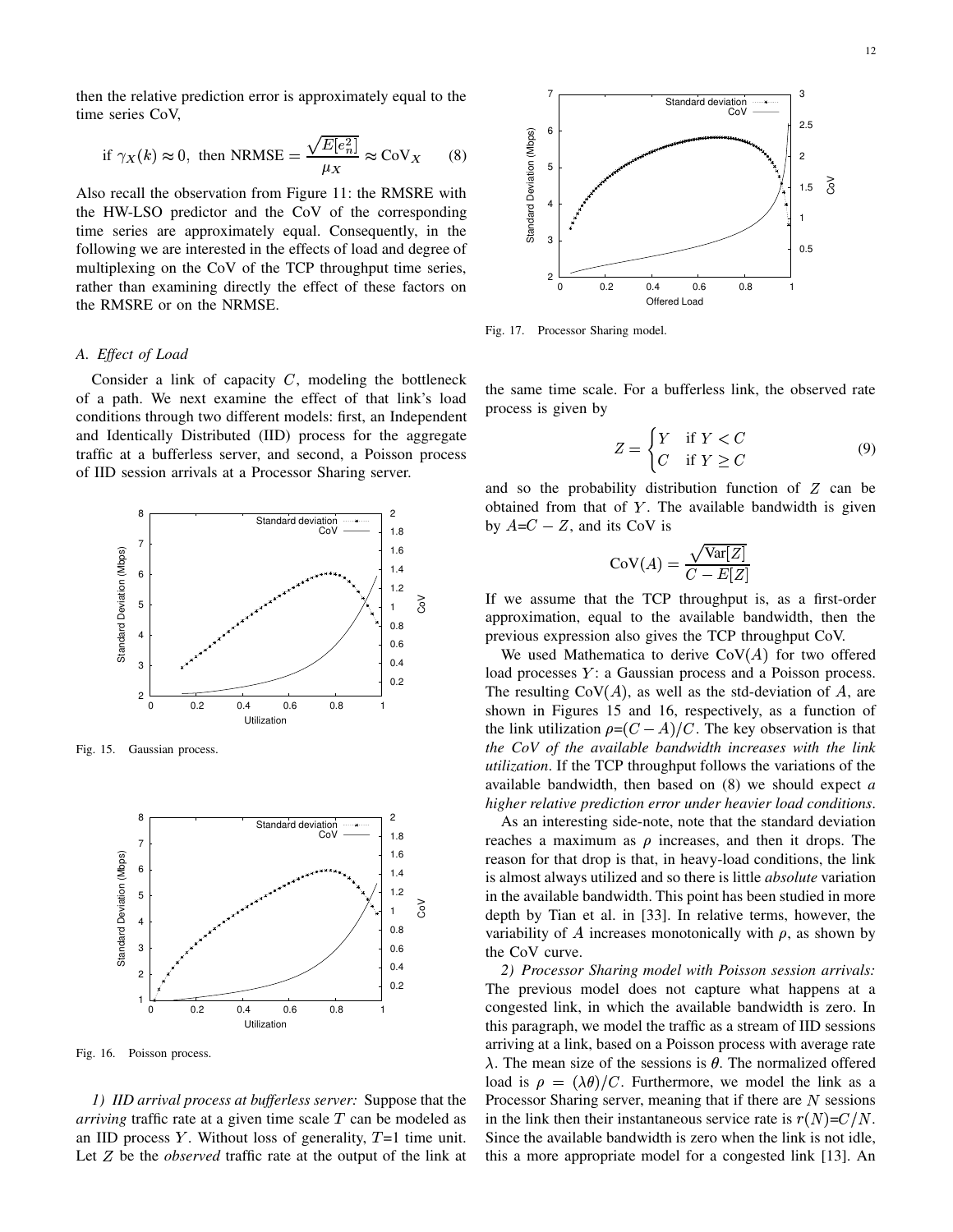then the relative prediction error is approximately equal to the time series CoV,

if 
$$
\gamma_X(k) \approx 0
$$
, then NRMSE =  $\frac{\sqrt{E[e_n^2]}}{\mu_X} \approx \text{CoV}_X$  (8)

Also recall the observation from Figure 11: the RMSRE with the HW-LSO predictor and the CoV of the corresponding time series are approximately equal. Consequently, in the following we are interested in the effects of load and degree of multiplexing on the CoV of the TCP throughput time series, rather than examining directly the effect of these factors on the RMSRE or on the NRMSE.

# *A. Effect of Load*

Consider a link of capacity  $C$ , modeling the bottleneck of a path. We next examine the effect of that link's load conditions through two different models: first, an Independent and Identically Distributed (IID) process for the aggregate traffic at a bufferless server, and second, a Poisson process of IID session arrivals at a Processor Sharing server.



Fig. 15. Gaussian process.



Fig. 16. Poisson process.

*1) IID arrival process at bufferless server:* Suppose that the  $arrying$  traffic rate at a given time scale  $T$  can be modeled as an IID process  $Y$ . Without loss of generality,  $T=1$  time unit. Let <sup>Z</sup> be the *observed* traffic rate at the output of the link at



Fig. 17. Processor Sharing model.

the same time scale. For a bufferless link, the observed rate process is given by

$$
Z = \begin{cases} Y & \text{if } Y < C \\ C & \text{if } Y \ge C \end{cases}
$$
 (9)

and so the probability distribution function of <sup>Z</sup> can be obtained from that of  $Y$ . The available bandwidth is given by  $A=C-Z$ , and its CoV is

$$
Cov(A) = \frac{\sqrt{\text{Var}[Z]}}{C - E[Z]}
$$

If we assume that the TCP throughput is, as a first-order approximation, equal to the available bandwidth, then the previous expression also gives the TCP throughput CoV.

We used Mathematica to derive  $CoV(A)$  for two offered load processes Y: a Gaussian process and a Poisson process. The resulting  $CoV(A)$ , as well as the std-deviation of A, are shown in Figures 15 and 16, respectively, as a function of the link utilization  $\rho = (C - A)/C$ . The key observation is that *the CoV of the available bandwidth increases with the link utilization*. If the TCP throughput follows the variations of the available bandwidth, then based on (8) we should expect *a higher relative prediction error under heavier load conditions*.

As an interesting side-note, note that the standard deviation reaches a maximum as  $\rho$  increases, and then it drops. The reason for that drop is that, in heavy-load conditions, the link is almost always utilized and so there is little *absolute* variation in the available bandwidth. This point has been studied in more depth by Tian et al. in [33]. In relative terms, however, the variability of A increases monotonically with  $\rho$ , as shown by the CoV curve.

*2) Processor Sharing model with Poisson session arrivals:* The previous model does not capture what happens at a congested link, in which the available bandwidth is zero. In this paragraph, we model the traffic as a stream of IID sessions arriving at a link, based on a Poisson process with average rate  $\lambda$ . The mean size of the sessions is  $\theta$ . The normalized offered load is  $\rho = (\lambda \theta)/C$ . Furthermore, we model the link as a Processor Sharing server, meaning that if there are  $N$  sessions in the link then their instantaneous service rate is  $r(N)=C/N$ . Since the available bandwidth is zero when the link is not idle, this a more appropriate model for a congested link [13]. An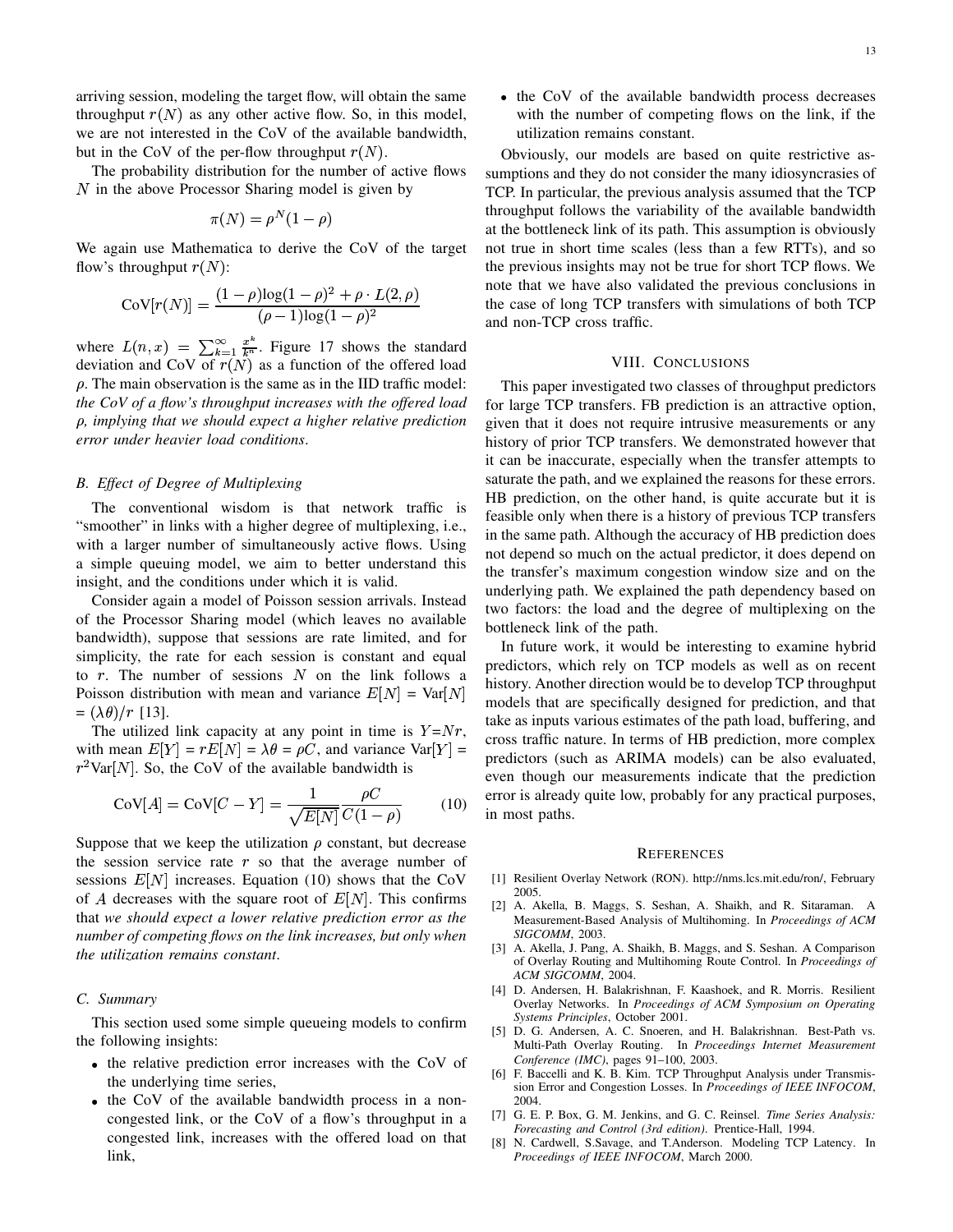The probability distribution for the number of active flows  $N$  in the above Processor Sharing model is given by

$$
\pi(N) = \rho^N(1-\rho)
$$

We again use Mathematica to derive the CoV of the target flow's throughput  $r(N)$ :

$$
Cov[r(N)] = \frac{(1-\rho)\log(1-\rho)^2 + \rho \cdot L(2,\rho)}{(\rho-1)\log(1-\rho)^2}
$$

where  $L(n,x) = \sum_{k=1}^{\infty} \frac{x^k}{k^n}$ . Figure 17 shows the standard deviation and CoV of  $r(N)$  as a function of the offered load  $\rho$ . The main observation is the same as in the IID traffic model: *the CoV of a flow's throughput increases with the offered load* ]*, implying that we should expect a higher relative prediction error under heavier load conditions*.

# *B. Effect of Degree of Multiplexing*

The conventional wisdom is that network traffic is "smoother" in links with a higher degree of multiplexing, i.e., with a larger number of simultaneously active flows. Using a simple queuing model, we aim to better understand this insight, and the conditions under which it is valid.

Consider again a model of Poisson session arrivals. Instead of the Processor Sharing model (which leaves no available bandwidth), suppose that sessions are rate limited, and for simplicity, the rate for each session is constant and equal to  $r$ . The number of sessions  $N$  on the link follows a Poisson distribution with mean and variance  $E[N] = Var[N]$  models that on  $= (\lambda \theta)/r$  [13].

The utilized link capacity at any point in time is  $Y=Nr$ , with mean  $E[Y] = rE[N] = \lambda \theta = \rho C$ , and variance  $Var[Y] =$  $r^2$ Var[N]. So, the CoV of the available bandwidth is

$$
Cov[A] = Cov[C - Y] = \frac{1}{\sqrt{E[N]}} \frac{\rho C}{C(1 - \rho)}
$$
(10)

Suppose that we keep the utilization  $\rho$  constant, but decrease the session service rate  $r$  so that the average number of sessions  $E[N]$  increases. Equation (10) shows that the CoV of A decreases with the square root of  $E[N]$ . This confirms that *we should expect a lower relative prediction error as the number of competing flows on the link increases, but only when the utilization remains constant*.

# *C. Summary*

This section used some simple queueing models to confirm the following insights:

- the relative prediction error increases with the CoV of the underlying time series,
- the CoV of the available bandwidth process in a noncongested link, or the CoV of a flow's throughput in a congested link, increases with the offered load on that link,

 the CoV of the available bandwidth process decreases with the number of competing flows on the link, if the utilization remains constant.

Obviously, our models are based on quite restrictive assumptions and they do not consider the many idiosyncrasies of TCP. In particular, the previous analysis assumed that the TCP throughput follows the variability of the available bandwidth at the bottleneck link of its path. This assumption is obviously not true in short time scales (less than a few RTTs), and so the previous insights may not be true for short TCP flows. We note that we have also validated the previous conclusions in the case of long TCP transfers with simulations of both TCP and non-TCP cross traffic.

## VIII. CONCLUSIONS

This paper investigated two classes of throughput predictors for large TCP transfers. FB prediction is an attractive option, given that it does not require intrusive measurements or any history of prior TCP transfers. We demonstrated however that it can be inaccurate, especially when the transfer attempts to saturate the path, and we explained the reasons for these errors. HB prediction, on the other hand, is quite accurate but it is feasible only when there is a history of previous TCP transfers in the same path. Although the accuracy of HB prediction does not depend so much on the actual predictor, it does depend on the transfer's maximum congestion window size and on the underlying path. We explained the path dependency based on two factors: the load and the degree of multiplexing on the bottleneck link of the path.

 $\frac{1}{1}$  history. Another direction would be to develop TCP throughput In future work, it would be interesting to examine hybrid predictors, which rely on TCP models as well as on recent models that are specifically designed for prediction, and that take as inputs various estimates of the path load, buffering, and cross traffic nature. In terms of HB prediction, more complex predictors (such as ARIMA models) can be also evaluated, even though our measurements indicate that the prediction error is already quite low, probably for any practical purposes, in most paths.

#### **REFERENCES**

- [1] Resilient Overlay Network (RON). http://nms.lcs.mit.edu/ron/, February 2005.
- [2] A. Akella, B. Maggs, S. Seshan, A. Shaikh, and R. Sitaraman. A Measurement-Based Analysis of Multihoming. In *Proceedings of ACM SIGCOMM*, 2003.
- [3] A. Akella, J. Pang, A. Shaikh, B. Maggs, and S. Seshan. A Comparison of Overlay Routing and Multihoming Route Control. In *Proceedings of ACM SIGCOMM*, 2004.
- [4] D. Andersen, H. Balakrishnan, F. Kaashoek, and R. Morris. Resilient Overlay Networks. In *Proceedings of ACM Symposium on Operating Systems Principles*, October 2001.
- [5] D. G. Andersen, A. C. Snoeren, and H. Balakrishnan. Best-Path vs. Multi-Path Overlay Routing. In *Proceedings Internet Measurement Conference (IMC)*, pages 91–100, 2003.
- [6] F. Baccelli and K. B. Kim. TCP Throughput Analysis under Transmission Error and Congestion Losses. In *Proceedings of IEEE INFOCOM*, 2004.
- [7] G. E. P. Box, G. M. Jenkins, and G. C. Reinsel. *Time Series Analysis: Forecasting and Control (3rd edition)*. Prentice-Hall, 1994.
- [8] N. Cardwell, S.Savage, and T.Anderson. Modeling TCP Latency. In *Proceedings of IEEE INFOCOM*, March 2000.